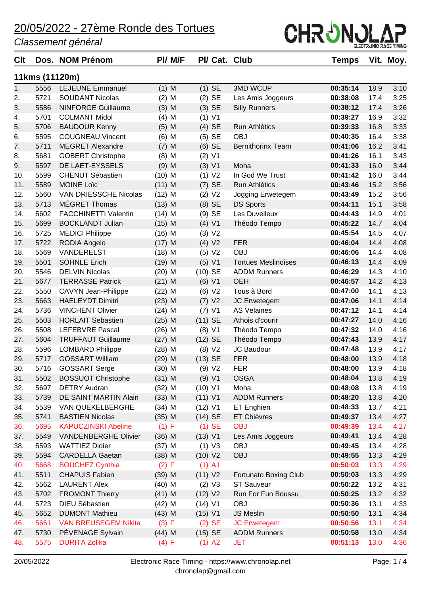*Classement général*

| Clt |                | Dos. NOM Prénom             | PI/ M/F  | PI/ Cat. Club |                            | <b>Temps</b> |      | Vit. Moy. |
|-----|----------------|-----------------------------|----------|---------------|----------------------------|--------------|------|-----------|
|     | 11kms (11120m) |                             |          |               |                            |              |      |           |
| 1.  | 5556           | <b>LEJEUNE Emmanuel</b>     | $(1)$ M  | $(1)$ SE      | <b>3MD WCUP</b>            | 00:35:14     | 18.9 | 3:10      |
| 2.  | 5721           | <b>SOUDANT Nicolas</b>      | $(2)$ M  | $(2)$ SE      | Les Amis Joggeurs          | 00:38:08     | 17.4 | 3:25      |
| 3.  | 5586           | <b>NINFORGE Guillaume</b>   | $(3)$ M  | $(3)$ SE      | <b>Silly Runners</b>       | 00:38:12     | 17.4 | 3:26      |
| 4.  | 5701           | <b>COLMANT Midol</b>        | $(4)$ M  | $(1)$ V1      |                            | 00:39:27     | 16.9 | 3:32      |
| 5.  | 5706           | <b>BAUDOUR Kenny</b>        | $(5)$ M  | $(4)$ SE      | Run Athlétics              | 00:39:33     | 16.8 | 3:33      |
| 6.  | 5595           | <b>COUGNEAU Vincent</b>     | $(6)$ M  | $(5)$ SE      | <b>OBJ</b>                 | 00:40:35     | 16.4 | 3:38      |
| 7.  | 5711           | <b>MEGRET Alexandre</b>     | $(7)$ M  | $(6)$ SE      | <b>Bernithorinx Team</b>   | 00:41:06     | 16.2 | 3:41      |
| 8.  | 5681           | <b>GOBERT Christophe</b>    | $(8)$ M  | $(2)$ V1      |                            | 00:41:26     | 16.1 | 3:43      |
| 9.  | 5597           | DE LAET-EYSSELS             | $(9)$ M  | (3) V1        | Moha                       | 00:41:33     | 16.0 | 3:44      |
| 10. | 5599           | <b>CHENUT Sébastien</b>     | $(10)$ M | (1) V2        | In God We Trust            | 00:41:42     | 16.0 | 3:44      |
| 11. | 5589           | <b>MOINE Loïc</b>           | $(11)$ M | $(7)$ SE      | Run Athlétics              | 00:43:46     | 15.2 | 3:56      |
| 12. | 5560           | VAN DRIESSCHE Nicolas       | $(12)$ M | (2) V2        | Jogging Erwetegem          | 00:43:49     | 15.2 | 3:56      |
| 13. | 5713           | MÉGRET Thomas               | $(13)$ M | $(8)$ SE      | <b>DS Sports</b>           | 00:44:11     | 15.1 | 3:58      |
| 14. | 5602           | <b>FACCHINETTI Valentin</b> | $(14)$ M | $(9)$ SE      | Les Duvelleux              | 00:44:43     | 14.9 | 4:01      |
| 15. | 5699           | <b>BOCKLANDT Julian</b>     | $(15)$ M | $(4)$ V1      | Théodo Tempo               | 00:45:22     | 14.7 | 4:04      |
| 16. | 5725           | <b>MEDICI Philippe</b>      | $(16)$ M | (3) V2        |                            | 00:45:54     | 14.5 | 4:07      |
| 17. | 5722           | RODIA Angelo                | $(17)$ M | (4) V2        | <b>FER</b>                 | 00:46:04     | 14.4 | 4:08      |
| 18. | 5569           | VANDERELST                  | $(18)$ M | (5) V2        | <b>OBJ</b>                 | 00:46:06     | 14.4 | 4:08      |
| 19. | 5501           | SÖHNLE Erich                | $(19)$ M | $(5)$ V1      | <b>Tortues Meslinoises</b> | 00:46:13     | 14.4 | 4:09      |
| 20. | 5546           | <b>DELVIN Nicolas</b>       | $(20)$ M | $(10)$ SE     | <b>ADDM Runners</b>        | 00:46:29     | 14.3 | 4:10      |
| 21. | 5677           | <b>TERRASSE Patrick</b>     | $(21)$ M | (6) V1        | <b>OEH</b>                 | 00:46:57     | 14.2 | 4:13      |
| 22. | 5550           | CAVYN Jean-Philippe         | $(22)$ M | (6) V2        | Tous à Bord                | 00:47:00     | 14.1 | 4:13      |
| 23. | 5663           | <b>HAELEYDT Dimitri</b>     | $(23)$ M | (7) V2        | JC Erwetegem               | 00:47:06     | 14.1 | 4:14      |
| 24. | 5736           | <b>VINCHENT Olivier</b>     | $(24)$ M | $(7)$ V1      | <b>AS Velaines</b>         | 00:47:12     | 14.1 | 4:14      |
| 25. | 5503           | <b>HORLAIT Sebastien</b>    | $(25)$ M | $(11)$ SE     | Athois d'courir            | 00:47:27     | 14.0 | 4:16      |
| 26. | 5508           | <b>LEFEBVRE Pascal</b>      | $(26)$ M | (8) V1        | Théodo Tempo               | 00:47:32     | 14.0 | 4:16      |
| 27. | 5604           | <b>TRUFFAUT Guillaume</b>   | $(27)$ M | $(12)$ SE     | Théodo Tempo               | 00:47:43     | 13.9 | 4:17      |
| 28. | 5596           | <b>LOMBARD Philippe</b>     | $(28)$ M | (8) V2        | JC Baudour                 | 00:47:48     | 13.9 | 4:17      |
| 29. | 5717           | <b>GOSSART William</b>      | $(29)$ M | $(13)$ SE     | <b>FER</b>                 | 00:48:00     | 13.9 | 4:18      |
| 30. | 5716           | <b>GOSSART Serge</b>        | (30) M   | (9) V2        | <b>FER</b>                 | 00:48:00     | 13.9 | 4:18      |
| 31. | 5502           | <b>BOSSUOT Christophe</b>   | $(31)$ M | (9) V1        | <b>OSGA</b>                | 00:48:04     | 13.8 | 4:19      |
| 32. | 5697           | <b>DETRY Audran</b>         | $(32)$ M | (10) V1       | Moha                       | 00:48:08     | 13.8 | 4:19      |
| 33. | 5739           | DE SAINT MARTIN Alain       | $(33)$ M | (11) V1       | <b>ADDM Runners</b>        | 00:48:20     | 13.8 | 4:20      |
| 34. | 5539           | VAN QUEKELBERGHE            | $(34)$ M | $(12)$ V1     | ET Enghien                 | 00:48:33     | 13.7 | 4:21      |
| 35. | 5741           | <b>BASTIEN Nicolas</b>      | $(35)$ M | $(14)$ SE     | <b>ET Chièvres</b>         | 00:49:37     | 13.4 | 4:27      |
| 36. | 5695           | <b>KAPUCZINSKI Abeline</b>  | (1) F    | $(1)$ SE      | <b>OBJ</b>                 | 00:49:39     | 13.4 | 4:27      |
| 37. | 5549           | <b>VANDENBERGHE Olivier</b> | $(36)$ M | (13) V1       | Les Amis Joggeurs          | 00:49:41     | 13.4 | 4:28      |
| 38. | 5593           | <b>WATTIEZ Didier</b>       | $(37)$ M | (1) V3        | OBJ                        | 00:49:45     | 13.4 | 4:28      |
| 39. | 5594           | <b>CARDELLA Gaetan</b>      | $(38)$ M | (10) V2       | <b>OBJ</b>                 | 00:49:55     | 13.3 | 4:29      |
| 40. | 5668           | <b>BOUCHEZ Cynthia</b>      | (2) F    | $(1)$ A1      |                            | 00:50:03     | 13.3 | 4:29      |
| 41. | 5511           | <b>CHAPUIS Fabien</b>       | $(39)$ M | (11) V2       | Fortunato Boxing Club      | 00:50:03     | 13.3 | 4:29      |
| 42. | 5562           | <b>LAURENT Alex</b>         | $(40)$ M | (2) V3        | <b>ST Sauveur</b>          | 00:50:22     | 13.2 | 4:31      |
| 43. | 5702           | <b>FROMONT Thierry</b>      | $(41)$ M | (12) V2       | Run For Fun Boussu         | 00:50:25     | 13.2 | 4:32      |
| 44. | 5723           | DIEU Sébastien              | $(42)$ M | $(14)$ V1     | <b>OBJ</b>                 | 00:50:36     | 13.1 | 4:33      |
| 45. | 5652           | <b>DUMONT Mathieu</b>       | $(43)$ M | $(15)$ V1     | JS Meslin                  | 00:50:50     | 13.1 | 4:34      |
| 46. | 5661           | <b>VAN BREUSEGEM Nikita</b> | (3) F    | $(2)$ SE      | <b>JC Erwetegem</b>        | 00:50:56     | 13.1 | 4:34      |
| 47. | 5730           | PÉVENAGE Sylvain            | $(44)$ M | $(15)$ SE     | <b>ADDM Runners</b>        | 00:50:58     | 13.0 | 4:34      |
| 48. | 5575           | <b>DURITA Zolika</b>        | (4) F    | $(1)$ A2      | <b>JET</b>                 | 00:51:13     | 13.0 | 4:36      |

**CHRUNULAP**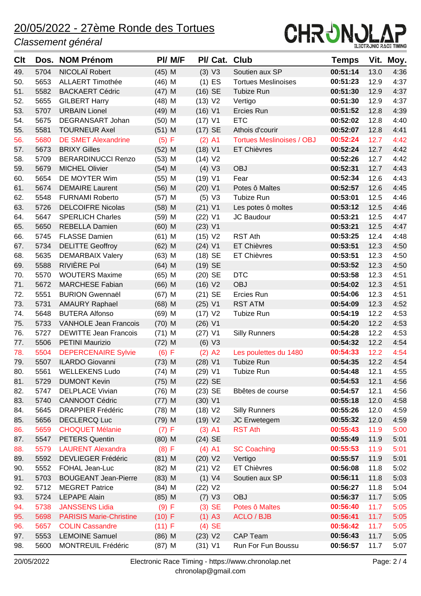### *Classement général*



| Clt |      | Dos. NOM Prénom                |          | PI/ M/F |           |          | PI/ Cat. Club                    | <b>Temps</b> |      | Vit. Moy. |
|-----|------|--------------------------------|----------|---------|-----------|----------|----------------------------------|--------------|------|-----------|
| 49. | 5704 | NICOLAÏ Robert                 | $(45)$ M |         |           | (3) V3   | Soutien aux SP                   | 00:51:14     | 13.0 | 4:36      |
| 50. | 5653 | <b>ALLAERT Timothée</b>        | $(46)$ M |         |           | $(1)$ ES | <b>Tortues Meslinoises</b>       | 00:51:23     | 12.9 | 4:37      |
| 51. | 5582 | <b>BACKAERT Cédric</b>         | $(47)$ M |         | $(16)$ SE |          | Tubize Run                       | 00:51:30     | 12.9 | 4:37      |
| 52. | 5655 | <b>GILBERT Harry</b>           | $(48)$ M |         | (13) V2   |          | Vertigo                          | 00:51:30     | 12.9 | 4:37      |
| 53. | 5707 | <b>URBAIN Lionel</b>           | $(49)$ M |         | $(16)$ V1 |          | Ercies Run                       | 00:51:52     | 12.8 | 4:39      |
| 54. | 5675 | DEGRANSART Johan               | $(50)$ M |         | $(17)$ V1 |          | <b>ETC</b>                       | 00:52:02     | 12.8 | 4:40      |
| 55. | 5581 | <b>TOURNEUR Axel</b>           | $(51)$ M |         | $(17)$ SE |          | Athois d'courir                  | 00:52:07     | 12.8 | 4:41      |
| 56. | 5680 | <b>DE SMET Alexandrine</b>     | (5) F    |         | $(2)$ A1  |          | <b>Tortues Meslinoises / OBJ</b> | 00:52:24     | 12.7 | 4:42      |
| 57. | 5673 | <b>BRIXY Gilles</b>            | $(52)$ M |         | $(18)$ V1 |          | <b>ET Chièvres</b>               | 00:52:24     | 12.7 | 4:42      |
| 58. | 5709 | <b>BERARDINUCCI Renzo</b>      | $(53)$ M |         | (14) V2   |          |                                  | 00:52:26     | 12.7 | 4:42      |
| 59. | 5679 | <b>MICHEL Olivier</b>          | $(54)$ M |         | $(4)$ V3  |          | <b>OBJ</b>                       | 00:52:31     | 12.7 | 4:43      |
| 60. | 5654 | DE MOYTER Wim                  | $(55)$ M |         | (19) V1   |          | Fear                             | 00:52:34     | 12.6 | 4:43      |
| 61. | 5674 | <b>DEMAIRE Laurent</b>         | $(56)$ M |         | $(20)$ V1 |          | Potes ô Maltes                   | 00:52:57     | 12.6 | 4:45      |
| 62. | 5548 | <b>FURNAMI Roberto</b>         | $(57)$ M |         |           | $(5)$ V3 | <b>Tubize Run</b>                | 00:53:01     | 12.5 | 4:46      |
| 63. | 5726 | <b>DELCOIFRE Nicolas</b>       | $(58)$ M |         | $(21)$ V1 |          | Les potes ô moltes               | 00:53:12     | 12.5 | 4:46      |
| 64. | 5647 | <b>SPERLICH Charles</b>        | $(59)$ M |         | $(22)$ V1 |          | JC Baudour                       | 00:53:21     | 12.5 | 4:47      |
| 65. | 5650 | <b>REBELLA Damien</b>          | $(60)$ M |         | $(23)$ V1 |          |                                  | 00:53:21     | 12.5 | 4:47      |
| 66. | 5745 | <b>FLASSE Damien</b>           | $(61)$ M |         | (15) V2   |          | <b>RST Ath</b>                   | 00:53:25     | 12.4 | 4:48      |
| 67. | 5734 | <b>DELITTE Geoffroy</b>        | $(62)$ M |         | $(24)$ V1 |          | <b>ET Chièvres</b>               | 00:53:51     | 12.3 | 4:50      |
| 68. | 5635 | <b>DEMARBAIX Valery</b>        | $(63)$ M |         | $(18)$ SE |          | <b>ET Chièvres</b>               | 00:53:51     | 12.3 | 4:50      |
| 69. | 5588 | RIVIÈRE Pol                    | $(64)$ M |         | $(19)$ SE |          |                                  | 00:53:52     | 12.3 | 4:50      |
| 70. | 5570 | <b>WOUTERS Maxime</b>          | $(65)$ M |         | $(20)$ SE |          | <b>DTC</b>                       | 00:53:58     | 12.3 | 4:51      |
| 71. | 5672 | <b>MARCHESE Fabian</b>         | $(66)$ M |         | (16) V2   |          | <b>OBJ</b>                       | 00:54:02     | 12.3 | 4:51      |
| 72. | 5551 | <b>BURION Gwennaël</b>         | $(67)$ M |         | $(21)$ SE |          | Ercies Run                       | 00:54:06     | 12.3 | 4:51      |
| 73. | 5731 | <b>AMAURY Raphael</b>          | $(68)$ M |         | $(25)$ V1 |          | <b>RST ATM</b>                   | 00:54:09     | 12.3 | 4:52      |
| 74. | 5648 | <b>BUTERA Alfonso</b>          | $(69)$ M |         | (17) V2   |          | Tubize Run                       | 00:54:19     | 12.2 | 4:53      |
| 75. | 5733 | <b>VANHOLE Jean Francois</b>   | $(70)$ M |         | $(26)$ V1 |          |                                  | 00:54:20     | 12.2 | 4:53      |
| 76. | 5727 | <b>DEWITTE Jean Francois</b>   | $(71)$ M |         | $(27)$ V1 |          | <b>Silly Runners</b>             | 00:54:28     | 12.2 | 4:53      |
| 77. | 5506 | <b>PETINI Maurizio</b>         | $(72)$ M |         | (6) V3    |          |                                  | 00:54:32     | 12.2 | 4:54      |
| 78. | 5504 | <b>DEPERCENAIRE Sylvie</b>     | (6) F    |         |           | $(2)$ A2 | Les poulettes du 1480            | 00:54:33     | 12.2 | 4:54      |
| 79. | 5507 | <b>ILARDO Giovanni</b>         | $(73)$ M |         | $(28)$ V1 |          | <b>Tubize Run</b>                | 00:54:35     | 12.2 | 4:54      |
| 80. | 5561 | <b>WELLEKENS Ludo</b>          | $(74)$ M |         | $(29)$ V1 |          | Tubize Run                       | 00:54:48     | 12.1 | 4:55      |
| 81. | 5729 | <b>DUMONT Kevin</b>            | $(75)$ M |         | $(22)$ SE |          |                                  | 00:54:53     | 12.1 | 4:56      |
| 82. | 5747 | <b>DELPLACE Vivian</b>         | $(76)$ M |         | $(23)$ SE |          | Bbêtes de course                 | 00:54:57     | 12.1 | 4:56      |
| 83. | 5740 | <b>CANNOOT Cédric</b>          | $(77)$ M |         | $(30)$ V1 |          |                                  | 00:55:18     | 12.0 | 4:58      |
| 84. | 5645 | <b>DRAPPIER Frédéric</b>       | $(78)$ M |         | (18) V2   |          | <b>Silly Runners</b>             | 00:55:26     | 12.0 | 4:59      |
| 85. | 5656 | <b>DECLERCQ Luc</b>            | $(79)$ M |         | (19) V2   |          | JC Erwetegem                     | 00:55:32     | 12.0 | 4:59      |
| 86. | 5659 | <b>CHOQUET Mélanie</b>         | (7) F    |         | $(3)$ A1  |          | <b>RST Ath</b>                   | 00:55:43     | 11.9 | 5:00      |
| 87. | 5547 | <b>PETERS Quentin</b>          | $(80)$ M |         | $(24)$ SE |          |                                  | 00:55:49     | 11.9 | 5:01      |
| 88. | 5579 | <b>LAURENT Alexandra</b>       | (8) F    |         | $(4)$ A1  |          | <b>SC Coaching</b>               | 00:55:53     | 11.9 | 5:01      |
| 89. | 5592 | <b>DEVLIEGER Frédéric</b>      | $(81)$ M |         | (20) V2   |          | Vertigo                          | 00:55:57     | 11.9 | 5:01      |
| 90. | 5552 | FOHAL Jean-Luc                 | $(82)$ M |         | (21) V2   |          | <b>ET Chièvres</b>               | 00:56:08     | 11.8 | 5:02      |
| 91. | 5703 | <b>BOUGEANT Jean-Pierre</b>    | $(83)$ M |         |           | $(1)$ V4 | Soutien aux SP                   | 00:56:11     | 11.8 | 5:03      |
| 92. | 5712 | <b>MEGRET Patrice</b>          | $(84)$ M |         | (22) V2   |          |                                  | 00:56:27     | 11.8 | 5:04      |
| 93. | 5724 | <b>LEPAPE Alain</b>            | $(85)$ M |         |           | (7) V3   | OBJ                              | 00:56:37     | 11.7 | 5:05      |
| 94. | 5738 | <b>JANSSENS Lidia</b>          | (9) F    |         |           | $(3)$ SE | Potes ô Maltes                   | 00:56:40     | 11.7 | 5:05      |
| 95. | 5698 | <b>PARISIS Marie-Christine</b> | (10) F   |         |           | $(1)$ A3 | <b>ACLO / BJB</b>                | 00:56:41     | 11.7 | 5:05      |
| 96. | 5657 | <b>COLIN Cassandre</b>         | $(11)$ F |         |           | $(4)$ SE |                                  | 00:56:42     | 11.7 | 5:05      |
| 97. | 5553 | <b>LEMOINE Samuel</b>          | $(86)$ M |         | (23) V2   |          | <b>CAP Team</b>                  | 00:56:43     | 11.7 | 5:05      |
| 98. | 5600 | MONTREUIL Frédéric             | $(87)$ M |         | $(31)$ V1 |          | Run For Fun Boussu               | 00:56:57     | 11.7 | 5:07      |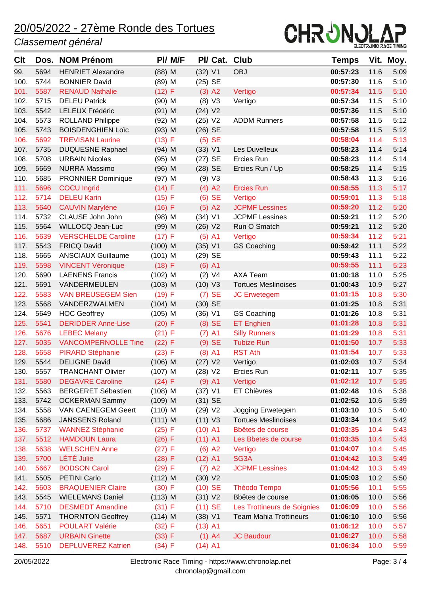### *Classement général*



| <b>Clt</b> |      | Dos. NOM Prénom            |           | PI/ M/F |           |          | PI/ Cat. Club                 | <b>Temps</b> | Vit. | Moy. |
|------------|------|----------------------------|-----------|---------|-----------|----------|-------------------------------|--------------|------|------|
| 99.        | 5694 | <b>HENRIET Alexandre</b>   | $(88)$ M  |         | $(32)$ V1 |          | <b>OBJ</b>                    | 00:57:23     | 11.6 | 5:09 |
| 100.       | 5744 | <b>BONNIER David</b>       | $(89)$ M  |         | $(25)$ SE |          |                               | 00:57:30     | 11.6 | 5:10 |
| 101.       | 5587 | <b>RENAUD Nathalie</b>     | (12) F    |         |           | $(3)$ A2 | Vertigo                       | 00:57:34     | 11.5 | 5:10 |
| 102.       | 5715 | <b>DELEU Patrick</b>       | $(90)$ M  |         |           | (8) V3   | Vertigo                       | 00:57:34     | 11.5 | 5:10 |
| 103.       | 5542 | LELEUX Frédéric            | $(91)$ M  |         | (24) V2   |          |                               | 00:57:36     | 11.5 | 5:10 |
| 104.       | 5573 | <b>ROLLAND Philippe</b>    | $(92)$ M  |         | (25) V2   |          | <b>ADDM Runners</b>           | 00:57:58     | 11.5 | 5:12 |
| 105.       | 5743 | <b>BOISDENGHIEN Loïc</b>   | $(93)$ M  |         | $(26)$ SE |          |                               | 00:57:58     | 11.5 | 5:12 |
| 106.       | 5692 | <b>TREVISAN Laurine</b>    | $(13)$ F  |         |           | $(5)$ SE |                               | 00:58:04     | 11.4 | 5:13 |
| 107.       | 5735 | <b>DUQUESNE Raphael</b>    | $(94)$ M  |         | (33) V1   |          | Les Duvelleux                 | 00:58:23     | 11.4 | 5:14 |
| 108.       | 5708 | <b>URBAIN Nicolas</b>      | $(95)$ M  |         | $(27)$ SE |          | Ercies Run                    | 00:58:23     | 11.4 | 5:14 |
| 109.       | 5669 | <b>NURRA Massimo</b>       | $(96)$ M  |         | $(28)$ SE |          | Ercies Run / Up               | 00:58:25     | 11.4 | 5:15 |
| 110.       | 5685 | PRONNIER Dominique         | $(97)$ M  |         |           | (9) V3   |                               | 00:58:43     | 11.3 | 5:16 |
| 111.       | 5696 | <b>COCU</b> Ingrid         | (14) F    |         |           | $(4)$ A2 | <b>Ercies Run</b>             | 00:58:55     | 11.3 | 5:17 |
| 112.       | 5714 | <b>DELEU Karin</b>         | (15) F    |         |           | $(6)$ SE | Vertigo                       | 00:59:01     | 11.3 | 5:18 |
| 113.       | 5640 | <b>CAUVIN Marylène</b>     | (16) F    |         |           | $(5)$ A2 | <b>JCPMF Lessines</b>         | 00:59:20     | 11.2 | 5:20 |
| 114.       | 5732 | CLAUSE John John           | $(98)$ M  |         | $(34)$ V1 |          | <b>JCPMF Lessines</b>         | 00:59:21     | 11.2 | 5:20 |
| 115.       | 5564 | WILLOCQ Jean-Luc           | $(99)$ M  |         | (26) V2   |          | Run O Smatch                  | 00:59:21     | 11.2 | 5:20 |
| 116.       | 5639 | <b>VERSCHELDE Caroline</b> | (17) F    |         | $(5)$ A1  |          | Vertigo                       | 00:59:34     | 11.2 | 5:21 |
| 117.       | 5543 | <b>FRICQ David</b>         | $(100)$ M |         | $(35)$ V1 |          | <b>GS Coaching</b>            | 00:59:42     | 11.1 | 5:22 |
| 118.       | 5665 | <b>ANSCIAUX Guillaume</b>  | $(101)$ M |         | $(29)$ SE |          |                               | 00:59:43     | 11.1 | 5:22 |
| 119.       | 5598 | <b>VINCENT Véronique</b>   | (18) F    |         | $(6)$ A1  |          |                               | 00:59:55     | 11.1 | 5:23 |
| 120.       | 5690 | <b>LAENENS Francis</b>     | $(102)$ M |         |           | (2) V4   | AXA Team                      | 01:00:18     | 11.0 | 5:25 |
| 121.       | 5691 | VANDERMEULEN               | $(103)$ M |         | (10) V3   |          | <b>Tortues Meslinoises</b>    | 01:00:43     | 10.9 | 5:27 |
| 122.       | 5583 | <b>VAN BREUSEGEM Sien</b>  | (19) F    |         |           | $(7)$ SE | <b>JC Erwetegem</b>           | 01:01:15     | 10.8 | 5:30 |
| 123.       | 5568 | VANDERZWALMEN              | $(104)$ M |         | $(30)$ SE |          |                               | 01:01:25     | 10.8 | 5:31 |
| 124.       | 5649 | <b>HOC Geoffrey</b>        | $(105)$ M |         | $(36)$ V1 |          | <b>GS Coaching</b>            | 01:01:26     | 10.8 | 5:31 |
| 125.       | 5541 | <b>DERIDDER Anne-Lise</b>  | $(20)$ F  |         |           | $(8)$ SE | <b>ET Enghien</b>             | 01:01:28     | 10.8 | 5:31 |
| 126.       | 5676 | <b>LEBEC Melany</b>        | (21) F    |         | $(7)$ A1  |          | <b>Silly Runners</b>          | 01:01:29     | 10.8 | 5:31 |
| 127.       | 5035 | <b>VANCOMPERNOLLE Tine</b> | (22) F    |         |           | $(9)$ SE | <b>Tubize Run</b>             | 01:01:50     | 10.7 | 5:33 |
| 128.       | 5658 | <b>PIRARD Stéphanie</b>    | $(23)$ F  |         | $(8)$ A1  |          | <b>RST Ath</b>                | 01:01:54     | 10.7 | 5:33 |
| 129.       | 5544 | <b>DELIGNE David</b>       | $(106)$ M |         | (27) V2   |          | Vertigo                       | 01:02:03     | 10.7 | 5:34 |
| 130.       | 5557 | <b>TRANCHANT Olivier</b>   | $(107)$ M |         | (28) V2   |          | Ercies Run                    | 01:02:11     | 10.7 | 5:35 |
| 131.       | 5580 | <b>DEGAVRE Caroline</b>    | (24) F    |         | $(9)$ A1  |          | Vertigo                       | 01:02:12     | 10.7 | 5:35 |
| 132.       | 5563 | <b>BERGERET Sébastien</b>  | $(108)$ M |         | $(37)$ V1 |          | ET Chièvres                   | 01:02:48     | 10.6 | 5:38 |
| 133.       | 5742 | <b>OCKERMAN Sammy</b>      | $(109)$ M |         | $(31)$ SE |          |                               | 01:02:52     | 10.6 | 5:39 |
| 134.       | 5558 | VAN CAENEGEM Geert         | $(110)$ M |         | (29) V2   |          | Jogging Erwetegem             | 01:03:10     | 10.5 | 5:40 |
| 135.       | 5686 | <b>JANSSENS Roland</b>     | $(111)$ M |         | (11) V3   |          | <b>Tortues Meslinoises</b>    | 01:03:34     | 10.4 | 5:42 |
| 136.       | 5737 | <b>WANNEZ Stéphanie</b>    | (25) F    |         | $(10)$ A1 |          | Bbêtes de course              | 01:03:35     | 10.4 | 5:43 |
| 137.       | 5512 | <b>HAMDOUN Laura</b>       | $(26)$ F  |         | $(11)$ A1 |          | Les Bbetes de course          | 01:03:35     | 10.4 | 5:43 |
| 138.       | 5638 | <b>WELSCHEN Anne</b>       | (27) F    |         |           | $(6)$ A2 | Vertigo                       | 01:04:07     | 10.4 | 5:45 |
| 139.       | 5700 | LÉTÉ Julie                 | (28) F    |         | $(12)$ A1 |          | SG3A                          | 01:04:42     | 10.3 | 5:49 |
| 140.       | 5667 | <b>BODSON Carol</b>        | (29) F    |         |           | $(7)$ A2 | <b>JCPMF Lessines</b>         | 01:04:42     | 10.3 | 5:49 |
| 141.       | 5505 | <b>PETINI Carlo</b>        | $(112)$ M |         | (30) V2   |          |                               | 01:05:03     | 10.2 | 5:50 |
| 142.       | 5603 | <b>BRAQUENIER Claire</b>   | $(30)$ F  |         | $(10)$ SE |          | <b>Théodo Tempo</b>           | 01:05:56     | 10.1 | 5:55 |
| 143.       | 5545 | <b>WIELEMANS Daniel</b>    | $(113)$ M |         | (31) V2   |          | Bbêtes de course              | 01:06:05     | 10.0 | 5:56 |
| 144.       | 5710 | <b>DESMEDT Amandine</b>    | (31) F    |         | $(11)$ SE |          | Les Trottineurs de Soignies   | 01:06:09     | 10.0 | 5:56 |
| 145.       | 5571 | <b>THORNTON Geoffrey</b>   | $(114)$ M |         | $(38)$ V1 |          | <b>Team Mahia Trottineurs</b> | 01:06:10     | 10.0 | 5:56 |
| 146.       | 5651 | <b>POULART Valérie</b>     | (32) F    |         | $(13)$ A1 |          |                               | 01:06:12     | 10.0 | 5:57 |
| 147.       | 5687 | <b>URBAIN Ginette</b>      | (33) F    |         |           | $(1)$ A4 | <b>JC Baudour</b>             | 01:06:27     | 10.0 | 5:58 |
| 148.       | 5510 | <b>DEPLUVEREZ Katrien</b>  | (34) F    |         | $(14)$ A1 |          |                               | 01:06:34     | 10.0 | 5:59 |